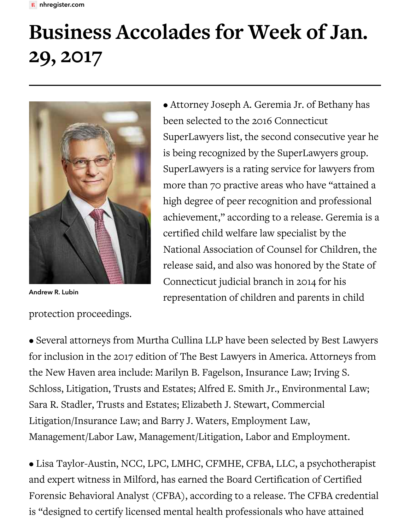## **Business Accolades for Week of Jan. 29, 2017**



Andrew R. Lubin

protection proceedings.

• Attorney Joseph A. Geremia Jr. of Bethany has been selected to the 2016 Connecticut SuperLawyers list, the second consecutive year he is being recognized by the SuperLawyers group. SuperLawyers is a rating service for lawyers from more than 70 practive areas who have "attained a high degree of peer recognition and professional achievement," according to a release. Geremia is a certified child welfare law specialist by the National Association of Counsel for Children, the release said, and also was honored by the State of Connecticut judicial branch in 2014 for his representation of children and parents in child

• Several attorneys from Murtha Cullina LLP have been selected by Best Lawyers for inclusion in the 2017 edition of The Best Lawyers in America. Attorneys from the New Haven area include: Marilyn B. Fagelson, Insurance Law; Irving S. Schloss, Litigation, Trusts and Estates; Alfred E. Smith Jr., Environmental Law; Sara R. Stadler, Trusts and Estates; Elizabeth J. Stewart, Commercial Litigation/Insurance Law; and Barry J. Waters, Employment Law, Management/Labor Law, Management/Litigation, Labor and Employment.

• Lisa Taylor-Austin, NCC, LPC, LMHC, CFMHE, CFBA, LLC, a psychotherapist and expert witness in Milford, has earned the Board Certification of Certified Forensic Behavioral Analyst (CFBA), according to a release. The CFBA credential is "designed to certify licensed mental health professionals who have attained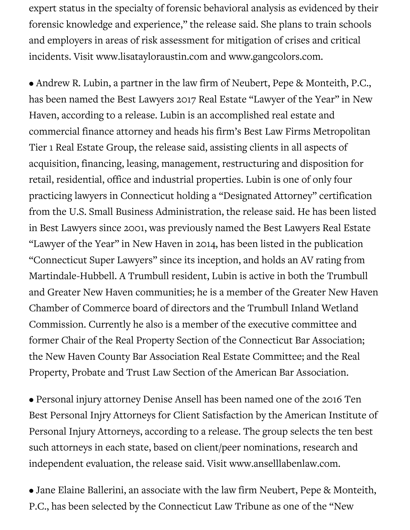expert status in the specialty of forensic behavioral analysis as evidenced by their forensic knowledge and experience," the release said. She plans to train schools and employers in areas of risk assessment for mitigation of crises and critical incidents. Visit www.lisatayloraustin.com and www.gangcolors.com.

• Andrew R. Lubin, a partner in the law firm of Neubert, Pepe & Monteith, P.C., has been named the Best Lawyers 2017 Real Estate "Lawyer of the Year" in New Haven, according to a release. Lubin is an accomplished real estate and commercial finance attorney and heads his firm's Best Law Firms Metropolitan Tier 1 Real Estate Group, the release said, assisting clients in all aspects of acquisition, financing, leasing, management, restructuring and disposition for retail, residential, office and industrial properties. Lubin is one of only four practicing lawyers in Connecticut holding a "Designated Attorney" certification from the U.S. Small Business Administration, the release said. He has been listed in Best Lawyers since 2001, was previously named the Best Lawyers Real Estate "Lawyer of the Year" in New Haven in 2014, has been listed in the publication "Connecticut Super Lawyers" since its inception, and holds an AV rating from Martindale-Hubbell. A Trumbull resident, Lubin is active in both the Trumbull and Greater New Haven communities; he is a member of the Greater New Haven Chamber of Commerce board of directors and the Trumbull Inland Wetland Commission. Currently he also is a member of the executive committee and former Chair of the Real Property Section of the Connecticut Bar Association; the New Haven County Bar Association Real Estate Committee; and the Real Property, Probate and Trust Law Section of the American Bar Association.

• Personal injury attorney Denise Ansell has been named one of the 2016 Ten Best Personal Injry Attorneys for Client Satisfaction by the American Institute of Personal Injury Attorneys, according to a release. The group selects the ten best such attorneys in each state, based on client/peer nominations, research and independent evaluation, the release said. Visit www.anselllabenlaw.com.

• Jane Elaine Ballerini, an associate with the law firm Neubert, Pepe & Monteith, P.C., has been selected by the Connecticut Law Tribune as one of the "New